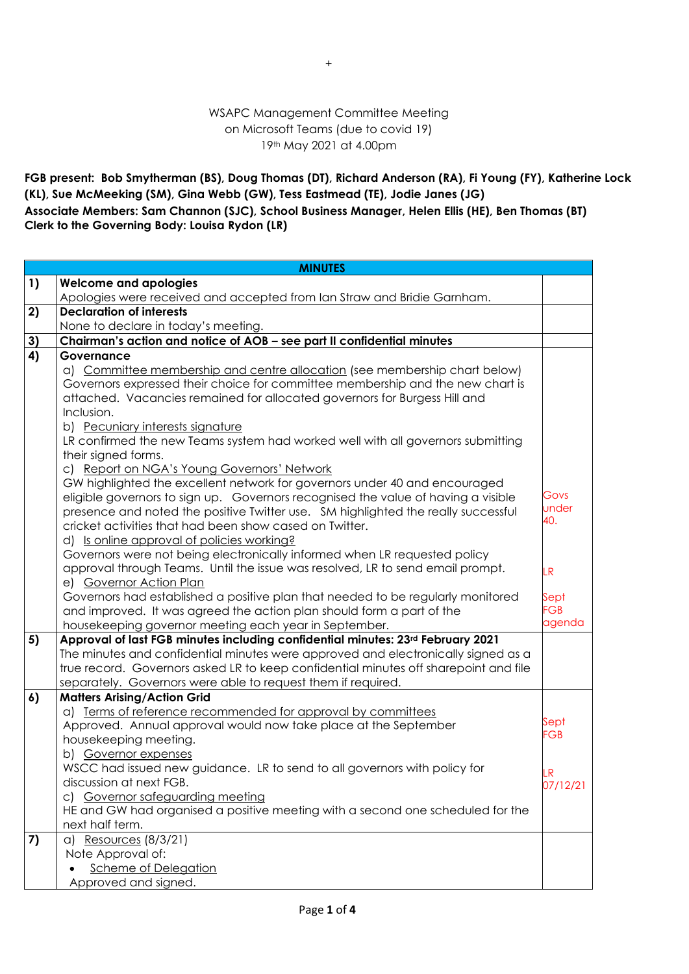## WSAPC Management Committee Meeting on Microsoft Teams (due to covid 19) 19th May 2021 at 4.00pm

**FGB present: Bob Smytherman (BS), Doug Thomas (DT), Richard Anderson (RA), Fi Young (FY), Katherine Lock (KL), Sue McMeeking (SM), Gina Webb (GW), Tess Eastmead (TE), Jodie Janes (JG) Associate Members: Sam Channon (SJC), School Business Manager, Helen Ellis (HE), Ben Thomas (BT)**

**Clerk to the Governing Body: Louisa Rydon (LR)**

|               | <b>MINUTES</b>                                                                                                                           |                    |  |  |  |
|---------------|------------------------------------------------------------------------------------------------------------------------------------------|--------------------|--|--|--|
| 1)            | <b>Welcome and apologies</b>                                                                                                             |                    |  |  |  |
|               | Apologies were received and accepted from Ian Straw and Bridie Garnham.                                                                  |                    |  |  |  |
| 2)            | <b>Declaration of interests</b>                                                                                                          |                    |  |  |  |
|               | None to declare in today's meeting.                                                                                                      |                    |  |  |  |
| $\frac{3}{4}$ | Chairman's action and notice of AOB - see part II confidential minutes                                                                   |                    |  |  |  |
|               | Governance                                                                                                                               |                    |  |  |  |
|               | a) Committee membership and centre allocation (see membership chart below)                                                               |                    |  |  |  |
|               | Governors expressed their choice for committee membership and the new chart is                                                           |                    |  |  |  |
|               | attached. Vacancies remained for allocated governors for Burgess Hill and                                                                |                    |  |  |  |
|               | Inclusion.                                                                                                                               |                    |  |  |  |
|               | b) Pecuniary interests signature                                                                                                         |                    |  |  |  |
|               | LR confirmed the new Teams system had worked well with all governors submitting                                                          |                    |  |  |  |
|               | their signed forms.                                                                                                                      |                    |  |  |  |
|               | c) Report on NGA's Young Governors' Network                                                                                              |                    |  |  |  |
|               | GW highlighted the excellent network for governors under 40 and encouraged                                                               |                    |  |  |  |
|               | eligible governors to sign up. Governors recognised the value of having a visible                                                        | Govs<br>under      |  |  |  |
|               | presence and noted the positive Twitter use. SM highlighted the really successful                                                        | 40.                |  |  |  |
|               | cricket activities that had been show cased on Twitter.                                                                                  |                    |  |  |  |
|               | d) Is online approval of policies working?                                                                                               |                    |  |  |  |
|               | Governors were not being electronically informed when LR requested policy                                                                |                    |  |  |  |
|               | approval through Teams. Until the issue was resolved, LR to send email prompt.                                                           | LR                 |  |  |  |
|               | e) Governor Action Plan                                                                                                                  |                    |  |  |  |
|               | Governors had established a positive plan that needed to be regularly monitored                                                          | Sept<br><b>FGB</b> |  |  |  |
|               | and improved. It was agreed the action plan should form a part of the                                                                    | agenda             |  |  |  |
| 5)            | housekeeping governor meeting each year in September.<br>Approval of last FGB minutes including confidential minutes: 23rd February 2021 |                    |  |  |  |
|               | The minutes and confidential minutes were approved and electronically signed as a                                                        |                    |  |  |  |
|               | true record. Governors asked LR to keep confidential minutes off sharepoint and file                                                     |                    |  |  |  |
|               | separately. Governors were able to request them if required.                                                                             |                    |  |  |  |
| 6)            | <b>Matters Arising/Action Grid</b>                                                                                                       |                    |  |  |  |
|               | a) Terms of reference recommended for approval by committees                                                                             |                    |  |  |  |
|               | Approved. Annual approval would now take place at the September                                                                          | Sept               |  |  |  |
|               | housekeeping meeting.                                                                                                                    | FGB                |  |  |  |
|               | b) Governor expenses                                                                                                                     |                    |  |  |  |
|               | WSCC had issued new guidance. LR to send to all governors with policy for                                                                |                    |  |  |  |
|               | discussion at next FGB.                                                                                                                  | .R<br>07/12/21     |  |  |  |
|               | c) Governor safeguarding meeting                                                                                                         |                    |  |  |  |
|               | HE and GW had organised a positive meeting with a second one scheduled for the                                                           |                    |  |  |  |
|               | next half term.                                                                                                                          |                    |  |  |  |
| 7)            | a) Resources (8/3/21)                                                                                                                    |                    |  |  |  |
|               | Note Approval of:                                                                                                                        |                    |  |  |  |
|               | <b>Scheme of Delegation</b>                                                                                                              |                    |  |  |  |
|               | Approved and signed.                                                                                                                     |                    |  |  |  |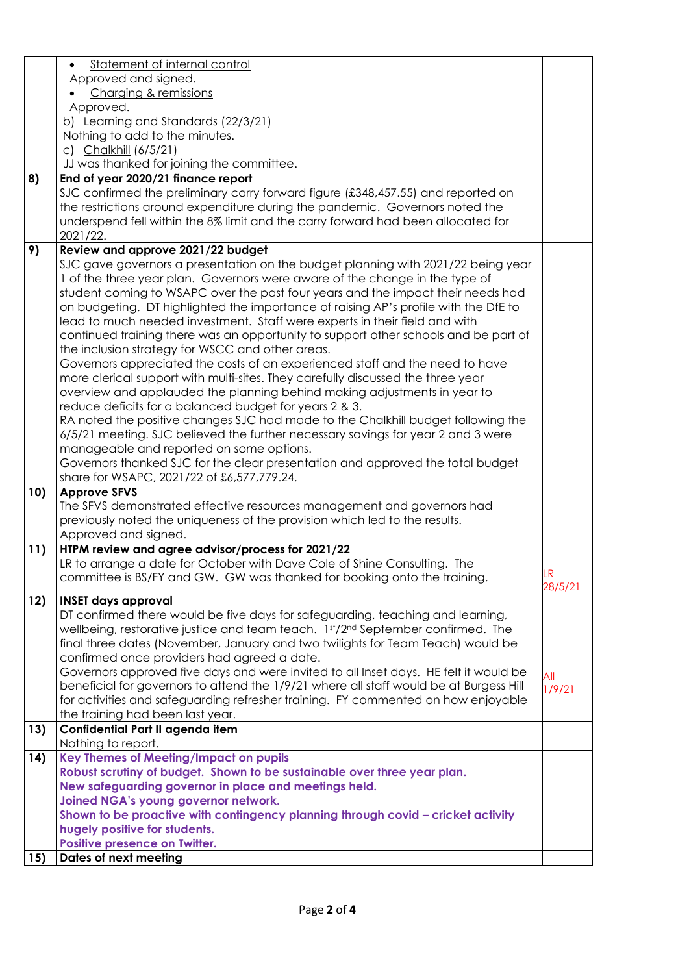|     | Statement of internal control                                                          |         |
|-----|----------------------------------------------------------------------------------------|---------|
|     | Approved and signed.                                                                   |         |
|     | Charging & remissions                                                                  |         |
|     | Approved.                                                                              |         |
|     | b) Learning and Standards (22/3/21)                                                    |         |
|     | Nothing to add to the minutes.                                                         |         |
|     | c) Chalkhill (6/5/21)                                                                  |         |
|     | JJ was thanked for joining the committee.                                              |         |
| 8)  | End of year 2020/21 finance report                                                     |         |
|     | SJC confirmed the preliminary carry forward figure (£348,457.55) and reported on       |         |
|     | the restrictions around expenditure during the pandemic. Governors noted the           |         |
|     | underspend fell within the 8% limit and the carry forward had been allocated for       |         |
|     | 2021/22.                                                                               |         |
| 9)  | Review and approve 2021/22 budget                                                      |         |
|     | SJC gave governors a presentation on the budget planning with 2021/22 being year       |         |
|     | 1 of the three year plan. Governors were aware of the change in the type of            |         |
|     | student coming to WSAPC over the past four years and the impact their needs had        |         |
|     | on budgeting. DT highlighted the importance of raising AP's profile with the DfE to    |         |
|     | lead to much needed investment. Staff were experts in their field and with             |         |
|     | continued training there was an opportunity to support other schools and be part of    |         |
|     | the inclusion strategy for WSCC and other areas.                                       |         |
|     | Governors appreciated the costs of an experienced staff and the need to have           |         |
|     | more clerical support with multi-sites. They carefully discussed the three year        |         |
|     | overview and applauded the planning behind making adjustments in year to               |         |
|     | reduce deficits for a balanced budget for years 2 & 3.                                 |         |
|     | RA noted the positive changes SJC had made to the Chalkhill budget following the       |         |
|     | 6/5/21 meeting. SJC believed the further necessary savings for year 2 and 3 were       |         |
|     | manageable and reported on some options.                                               |         |
|     | Governors thanked SJC for the clear presentation and approved the total budget         |         |
|     | share for WSAPC, 2021/22 of £6,577,779.24.                                             |         |
| 10) | <b>Approve SFVS</b>                                                                    |         |
|     | The SFVS demonstrated effective resources management and governors had                 |         |
|     | previously noted the uniqueness of the provision which led to the results.             |         |
|     | Approved and signed.                                                                   |         |
| 11) | HTPM review and agree advisor/process for 2021/22                                      |         |
|     | LR to arrange a date for October with Dave Cole of Shine Consulting. The               |         |
|     | committee is BS/FY and GW. GW was thanked for booking onto the training.               | LR      |
|     |                                                                                        | 28/5/21 |
| 12) | <b>INSET days approval</b>                                                             |         |
|     | DT confirmed there would be five days for safeguarding, teaching and learning,         |         |
|     | wellbeing, restorative justice and team teach. 1st/2nd September confirmed. The        |         |
|     | final three dates (November, January and two twilights for Team Teach) would be        |         |
|     | confirmed once providers had agreed a date.                                            |         |
|     | Governors approved five days and were invited to all Inset days. HE felt it would be   | All     |
|     | beneficial for governors to attend the 1/9/21 where all staff would be at Burgess Hill | 1/9/21  |
|     | for activities and safeguarding refresher training. FY commented on how enjoyable      |         |
|     | the training had been last year.                                                       |         |
| 13) | Confidential Part II agenda item                                                       |         |
|     | Nothing to report.                                                                     |         |
| 14) | Key Themes of Meeting/Impact on pupils                                                 |         |
|     | Robust scrutiny of budget. Shown to be sustainable over three year plan.               |         |
|     | New safeguarding governor in place and meetings held.                                  |         |
|     | Joined NGA's young governor network.                                                   |         |
|     | Shown to be proactive with contingency planning through covid - cricket activity       |         |
|     | hugely positive for students.                                                          |         |
|     | Positive presence on Twitter.                                                          |         |
| 15) | Dates of next meeting                                                                  |         |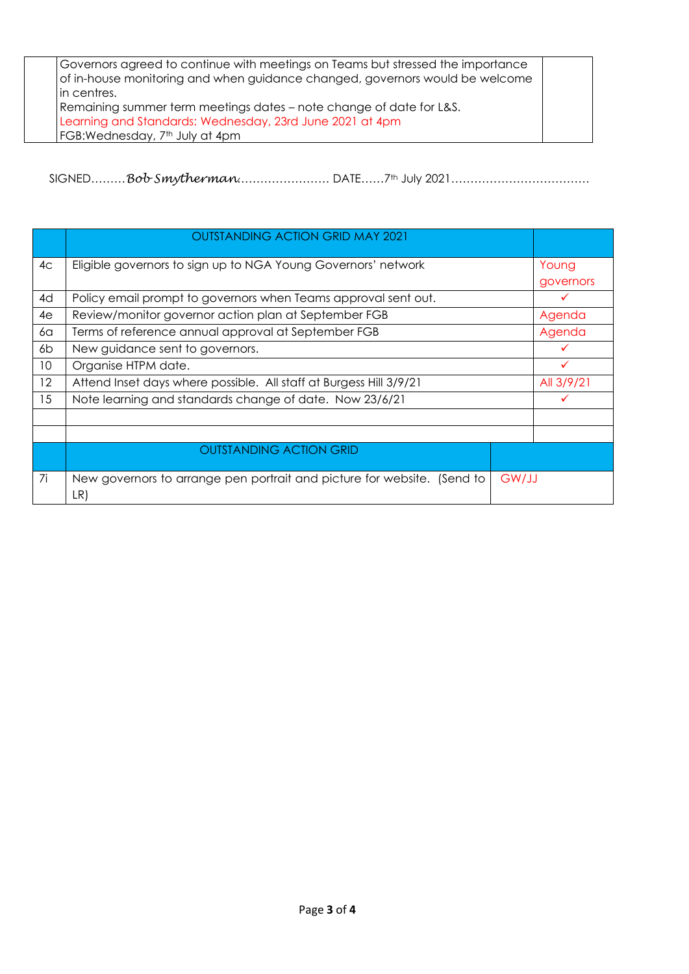| Governors agreed to continue with meetings on Teams but stressed the importance |  |
|---------------------------------------------------------------------------------|--|
| of in-house monitoring and when guidance changed, governors would be welcome    |  |
| lin centres.                                                                    |  |
| Remaining summer term meetings dates – note change of date for L&S.             |  |
| Learning and Standards: Wednesday, 23rd June 2021 at 4pm                        |  |
| FGB: Wednesday, 7 <sup>th</sup> July at 4pm                                     |  |

SIGNED………*Bob Smytherman*…………………… DATE……7th July 2021………………………………

|    | <b>OUTSTANDING ACTION GRID MAY 2021</b>                                        |       |           |  |
|----|--------------------------------------------------------------------------------|-------|-----------|--|
| 4c | Eligible governors to sign up to NGA Young Governors' network                  |       | Young     |  |
|    |                                                                                |       | governors |  |
| 4d | Policy email prompt to governors when Teams approval sent out.                 |       | ✓         |  |
| 4e | Review/monitor governor action plan at September FGB                           |       | Agenda    |  |
| 6a | Terms of reference annual approval at September FGB                            |       | Agenda    |  |
| 6b | New guidance sent to governors.                                                |       |           |  |
| 10 | Organise HTPM date.                                                            |       |           |  |
| 12 | Attend Inset days where possible. All staff at Burgess Hill 3/9/21             |       |           |  |
| 15 | Note learning and standards change of date. Now 23/6/21                        |       | ✓         |  |
|    |                                                                                |       |           |  |
|    |                                                                                |       |           |  |
|    | <b>OUTSTANDING ACTION GRID</b>                                                 |       |           |  |
|    |                                                                                |       |           |  |
| 7i | New governors to arrange pen portrait and picture for website. (Send to<br>LR) | GW/JJ |           |  |
|    |                                                                                |       |           |  |